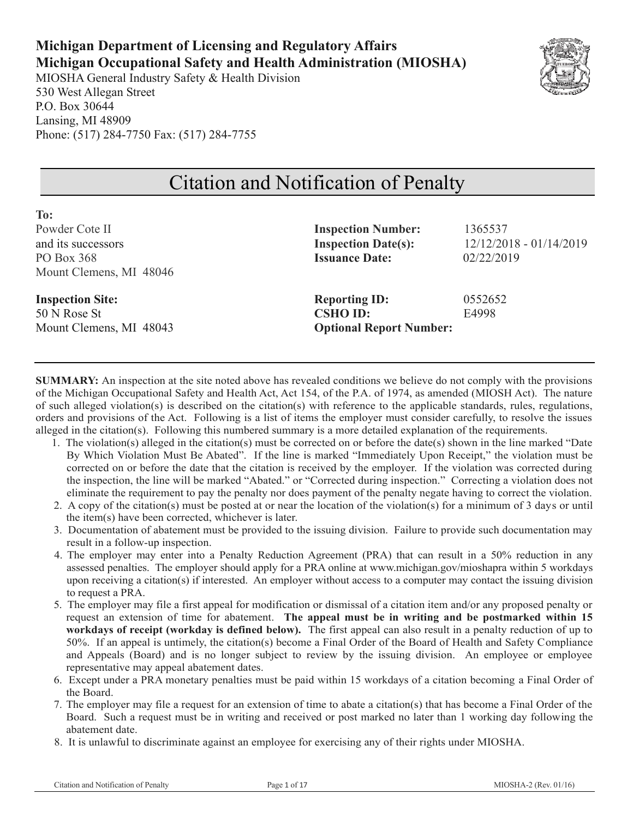# **Michigan Department of Licensing and Regulatory Affairs Michigan Occupational Safety and Health Administration (MIOSHA)**

MIOSHA General Industry Safety & Health Division 530 West Allegan Street P.O. Box 30644 Lansing, MI 48909 Phone: (517) 284-7750 Fax: (517) 284-7755

**To:** 



# Citation and Notification of Penalty

| .                       |                                |                         |
|-------------------------|--------------------------------|-------------------------|
| Powder Cote II          | <b>Inspection Number:</b>      | 1365537                 |
| and its successors      | <b>Inspection Date(s):</b>     | 12/12/2018 - 01/14/2019 |
| PO Box 368              | <b>Issuance Date:</b>          | 02/22/2019              |
| Mount Clemens, MI 48046 |                                |                         |
| <b>Inspection Site:</b> | <b>Reporting ID:</b>           | 0552652                 |
| 50 N Rose St            | <b>CSHO ID:</b>                | E4998                   |
| Mount Clemens, MI 48043 | <b>Optional Report Number:</b> |                         |
|                         |                                |                         |

**SUMMARY:** An inspection at the site noted above has revealed conditions we believe do not comply with the provisions of the Michigan Occupational Safety and Health Act, Act 154, of the P.A. of 1974, as amended (MIOSH Act). The nature of such alleged violation(s) is described on the citation(s) with reference to the applicable standards, rules, regulations, orders and provisions of the Act. Following is a list of items the employer must consider carefully, to resolve the issues alleged in the citation(s). Following this numbered summary is a more detailed explanation of the requirements.

- 1. The violation(s) alleged in the citation(s) must be corrected on or before the date(s) shown in the line marked "Date By Which Violation Must Be Abated". If the line is marked "Immediately Upon Receipt," the violation must be corrected on or before the date that the citation is received by the employer. If the violation was corrected during the inspection, the line will be marked "Abated." or "Corrected during inspection." Correcting a violation does not eliminate the requirement to pay the penalty nor does payment of the penalty negate having to correct the violation.
- 2. A copy of the citation(s) must be posted at or near the location of the violation(s) for a minimum of 3 days or until the item(s) have been corrected, whichever is later.
- 3. Documentation of abatement must be provided to the issuing division. Failure to provide such documentation may result in a follow-up inspection.
- 4. The employer may enter into a Penalty Reduction Agreement (PRA) that can result in a 50% reduction in any assessed penalties. The employer should apply for a PRA online at www.michigan.gov/mioshapra within 5 workdays upon receiving a citation(s) if interested. An employer without access to a computer may contact the issuing division to request a PRA.
- 5. The employer may file a first appeal for modification or dismissal of a citation item and/or any proposed penalty or request an extension of time for abatement. **The appeal must be in writing and be postmarked within 15 workdays of receipt (workday is defined below).** The first appeal can also result in a penalty reduction of up to 50%. If an appeal is untimely, the citation(s) become a Final Order of the Board of Health and Safety Compliance and Appeals (Board) and is no longer subject to review by the issuing division. An employee or employee representative may appeal abatement dates.
- 6. Except under a PRA monetary penalties must be paid within 15 workdays of a citation becoming a Final Order of the Board.
- 7. The employer may file a request for an extension of time to abate a citation(s) that has become a Final Order of the Board. Such a request must be in writing and received or post marked no later than 1 working day following the abatement date.
- 8. It is unlawful to discriminate against an employee for exercising any of their rights under MIOSHA.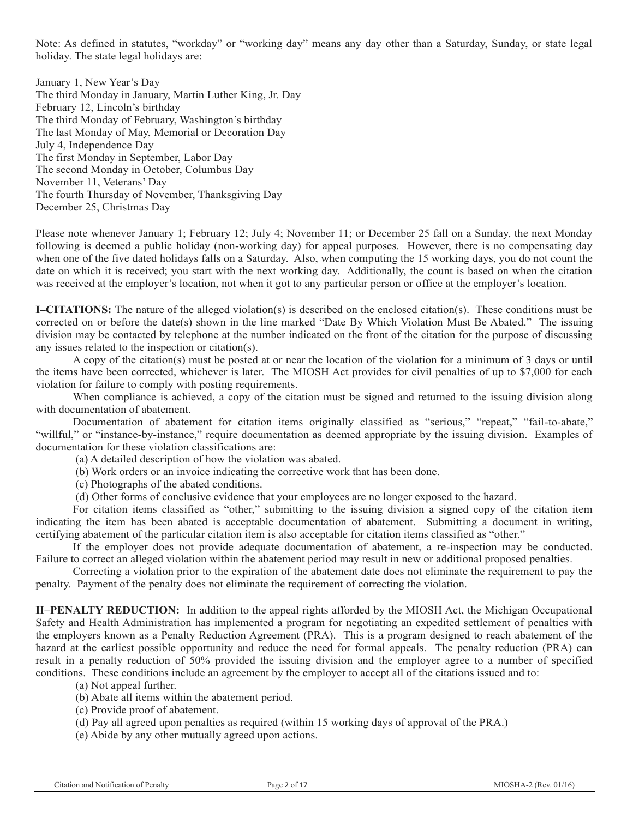Note: As defined in statutes, "workday" or "working day" means any day other than a Saturday, Sunday, or state legal holiday. The state legal holidays are:

January 1, New Year's Day The third Monday in January, Martin Luther King, Jr. Day February 12, Lincoln's birthday The third Monday of February, Washington's birthday The last Monday of May, Memorial or Decoration Day July 4, Independence Day The first Monday in September, Labor Day The second Monday in October, Columbus Day November 11, Veterans' Day The fourth Thursday of November, Thanksgiving Day December 25, Christmas Day

Please note whenever January 1; February 12; July 4; November 11; or December 25 fall on a Sunday, the next Monday following is deemed a public holiday (non-working day) for appeal purposes. However, there is no compensating day when one of the five dated holidays falls on a Saturday. Also, when computing the 15 working days, you do not count the date on which it is received; you start with the next working day. Additionally, the count is based on when the citation was received at the employer's location, not when it got to any particular person or office at the employer's location.

**I–CITATIONS:** The nature of the alleged violation(s) is described on the enclosed citation(s). These conditions must be corrected on or before the date(s) shown in the line marked "Date By Which Violation Must Be Abated." The issuing division may be contacted by telephone at the number indicated on the front of the citation for the purpose of discussing any issues related to the inspection or citation(s).

A copy of the citation(s) must be posted at or near the location of the violation for a minimum of 3 days or until the items have been corrected, whichever is later. The MIOSH Act provides for civil penalties of up to \$7,000 for each violation for failure to comply with posting requirements.

When compliance is achieved, a copy of the citation must be signed and returned to the issuing division along with documentation of abatement.

Documentation of abatement for citation items originally classified as "serious," "repeat," "fail-to-abate," "willful," or "instance-by-instance," require documentation as deemed appropriate by the issuing division. Examples of documentation for these violation classifications are:

(a) A detailed description of how the violation was abated.

(b) Work orders or an invoice indicating the corrective work that has been done.

(c) Photographs of the abated conditions.

(d) Other forms of conclusive evidence that your employees are no longer exposed to the hazard.

For citation items classified as "other," submitting to the issuing division a signed copy of the citation item indicating the item has been abated is acceptable documentation of abatement. Submitting a document in writing, certifying abatement of the particular citation item is also acceptable for citation items classified as "other."

If the employer does not provide adequate documentation of abatement, a re-inspection may be conducted. Failure to correct an alleged violation within the abatement period may result in new or additional proposed penalties.

Correcting a violation prior to the expiration of the abatement date does not eliminate the requirement to pay the penalty. Payment of the penalty does not eliminate the requirement of correcting the violation.

**II–PENALTY REDUCTION:** In addition to the appeal rights afforded by the MIOSH Act, the Michigan Occupational Safety and Health Administration has implemented a program for negotiating an expedited settlement of penalties with the employers known as a Penalty Reduction Agreement (PRA). This is a program designed to reach abatement of the hazard at the earliest possible opportunity and reduce the need for formal appeals. The penalty reduction (PRA) can result in a penalty reduction of 50% provided the issuing division and the employer agree to a number of specified conditions. These conditions include an agreement by the employer to accept all of the citations issued and to:

(a) Not appeal further.

(b) Abate all items within the abatement period.

(c) Provide proof of abatement.

(d) Pay all agreed upon penalties as required (within 15 working days of approval of the PRA.)

(e) Abide by any other mutually agreed upon actions.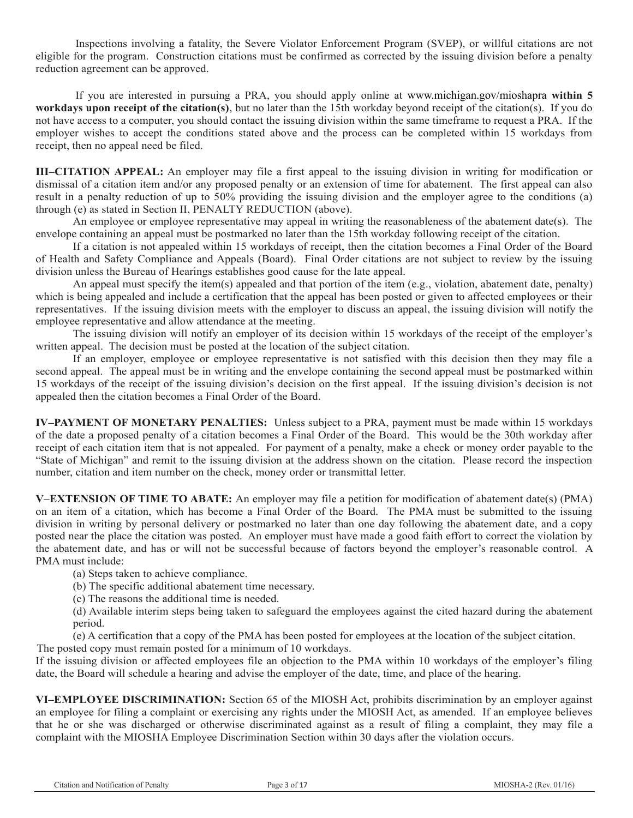Inspections involving a fatality, the Severe Violator Enforcement Program (SVEP), or willful citations are not eligible for the program. Construction citations must be confirmed as corrected by the issuing division before a penalty reduction agreement can be approved.

If you are interested in pursuing a PRA, you should apply online at www.michigan.gov/mioshapra **within 5 workdays upon receipt of the citation(s)**, but no later than the 15th workday beyond receipt of the citation(s). If you do not have access to a computer, you should contact the issuing division within the same timeframe to request a PRA. If the employer wishes to accept the conditions stated above and the process can be completed within 15 workdays from receipt, then no appeal need be filed.

**III–CITATION APPEAL:** An employer may file a first appeal to the issuing division in writing for modification or dismissal of a citation item and/or any proposed penalty or an extension of time for abatement. The first appeal can also result in a penalty reduction of up to 50% providing the issuing division and the employer agree to the conditions (a) through (e) as stated in Section II, PENALTY REDUCTION (above).

An employee or employee representative may appeal in writing the reasonableness of the abatement date(s). The envelope containing an appeal must be postmarked no later than the 15th workday following receipt of the citation.

If a citation is not appealed within 15 workdays of receipt, then the citation becomes a Final Order of the Board of Health and Safety Compliance and Appeals (Board). Final Order citations are not subject to review by the issuing division unless the Bureau of Hearings establishes good cause for the late appeal.

An appeal must specify the item(s) appealed and that portion of the item (e.g., violation, abatement date, penalty) which is being appealed and include a certification that the appeal has been posted or given to affected employees or their representatives. If the issuing division meets with the employer to discuss an appeal, the issuing division will notify the employee representative and allow attendance at the meeting.

The issuing division will notify an employer of its decision within 15 workdays of the receipt of the employer's written appeal. The decision must be posted at the location of the subject citation.

If an employer, employee or employee representative is not satisfied with this decision then they may file a second appeal. The appeal must be in writing and the envelope containing the second appeal must be postmarked within 15 workdays of the receipt of the issuing division's decision on the first appeal. If the issuing division's decision is not appealed then the citation becomes a Final Order of the Board.

**IV–PAYMENT OF MONETARY PENALTIES:** Unless subject to a PRA, payment must be made within 15 workdays of the date a proposed penalty of a citation becomes a Final Order of the Board. This would be the 30th workday after receipt of each citation item that is not appealed. For payment of a penalty, make a check or money order payable to the "State of Michigan" and remit to the issuing division at the address shown on the citation. Please record the inspection number, citation and item number on the check, money order or transmittal letter.

**V–EXTENSION OF TIME TO ABATE:** An employer may file a petition for modification of abatement date(s) (PMA) on an item of a citation, which has become a Final Order of the Board. The PMA must be submitted to the issuing division in writing by personal delivery or postmarked no later than one day following the abatement date, and a copy posted near the place the citation was posted. An employer must have made a good faith effort to correct the violation by the abatement date, and has or will not be successful because of factors beyond the employer's reasonable control. A PMA must include:

(a) Steps taken to achieve compliance.

(b) The specific additional abatement time necessary.

(c) The reasons the additional time is needed.

(d) Available interim steps being taken to safeguard the employees against the cited hazard during the abatement period.

(e) A certification that a copy of the PMA has been posted for employees at the location of the subject citation. The posted copy must remain posted for a minimum of 10 workdays.

If the issuing division or affected employees file an objection to the PMA within 10 workdays of the employer's filing date, the Board will schedule a hearing and advise the employer of the date, time, and place of the hearing.

**VI–EMPLOYEE DISCRIMINATION:** Section 65 of the MIOSH Act, prohibits discrimination by an employer against an employee for filing a complaint or exercising any rights under the MIOSH Act, as amended. If an employee believes that he or she was discharged or otherwise discriminated against as a result of filing a complaint, they may file a complaint with the MIOSHA Employee Discrimination Section within 30 days after the violation occurs.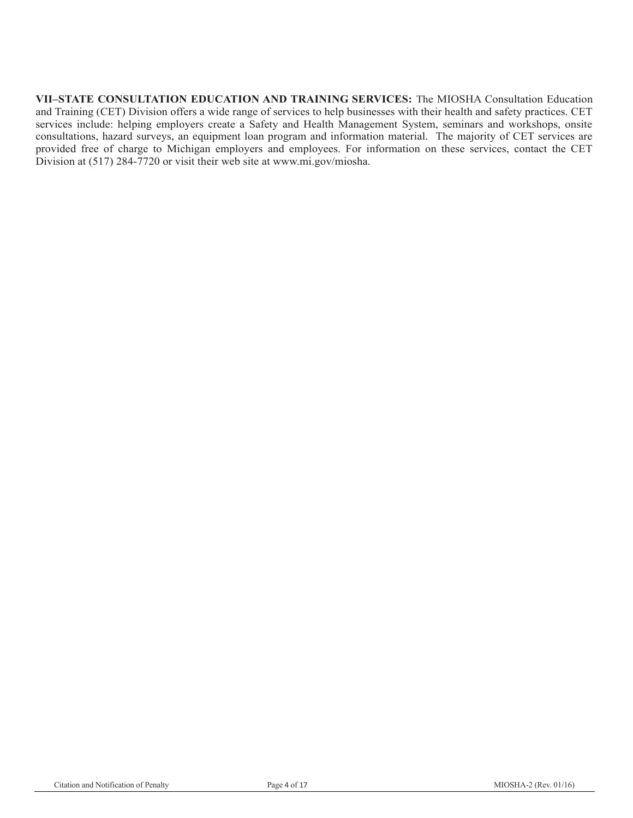**VII–STATE CONSULTATION EDUCATION AND TRAINING SERVICES:** The MIOSHA Consultation Education and Training (CET) Division offers a wide range of services to help businesses with their health and safety practices. CET services include: helping employers create a Safety and Health Management System, seminars and workshops, onsite consultations, hazard surveys, an equipment loan program and information material. The majority of CET services are provided free of charge to Michigan employers and employees. For information on these services, contact the CET Division at (517) 284-7720 or visit their web site at www.mi.gov/miosha.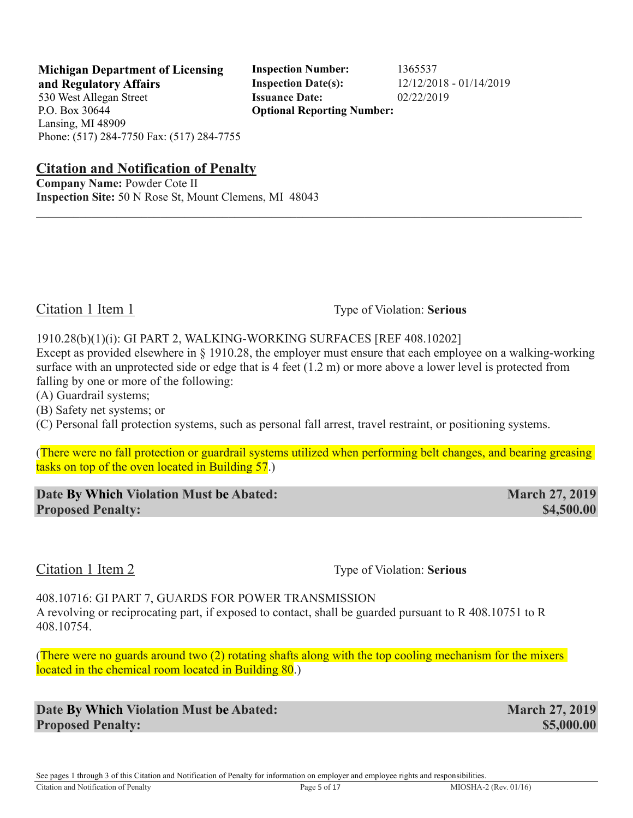**Michigan Department of Licensing Inspection Number:** 1365537 **and Regulatory Affairs Inspection Date(s):** 12/12/2018 - 01/14/2019 **Optional Reporting Number:** 

**Citation and Notification of Penalty**

**Company Name:** Powder Cote II **Inspection Site:** 50 N Rose St, Mount Clemens, MI 48043

Citation 1 Item 1 Type of Violation: **Serious** 

1910.28(b)(1)(i): GI PART 2, WALKING-WORKING SURFACES [REF 408.10202]

Except as provided elsewhere in § 1910.28, the employer must ensure that each employee on a walking-working surface with an unprotected side or edge that is 4 feet (1.2 m) or more above a lower level is protected from falling by one or more of the following:

 $\mathcal{L}_\mathcal{L} = \mathcal{L}_\mathcal{L} = \mathcal{L}_\mathcal{L} = \mathcal{L}_\mathcal{L} = \mathcal{L}_\mathcal{L} = \mathcal{L}_\mathcal{L} = \mathcal{L}_\mathcal{L} = \mathcal{L}_\mathcal{L} = \mathcal{L}_\mathcal{L} = \mathcal{L}_\mathcal{L} = \mathcal{L}_\mathcal{L} = \mathcal{L}_\mathcal{L} = \mathcal{L}_\mathcal{L} = \mathcal{L}_\mathcal{L} = \mathcal{L}_\mathcal{L} = \mathcal{L}_\mathcal{L} = \mathcal{L}_\mathcal{L}$ 

(A) Guardrail systems;

(B) Safety net systems; or

(C) Personal fall protection systems, such as personal fall arrest, travel restraint, or positioning systems.

(There were no fall protection or guardrail systems utilized when performing belt changes, and bearing greasing tasks on top of the oven located in Building 57.)

**Date By Which Violation Must be Abated: March 27, 2019 Proposed Penalty: \$4,500.00 \$4,500.00** 

Citation 1 Item 2 Type of Violation: **Serious** 

408.10716: GI PART 7, GUARDS FOR POWER TRANSMISSION A revolving or reciprocating part, if exposed to contact, shall be guarded pursuant to R 408.10751 to R 408.10754.

(There were no guards around two (2) rotating shafts along with the top cooling mechanism for the mixers located in the chemical room located in Building 80.)

**Date By Which Violation Must be Abated: March 27, 2019 Proposed Penalty: \$5,000.00 \$5,000.00**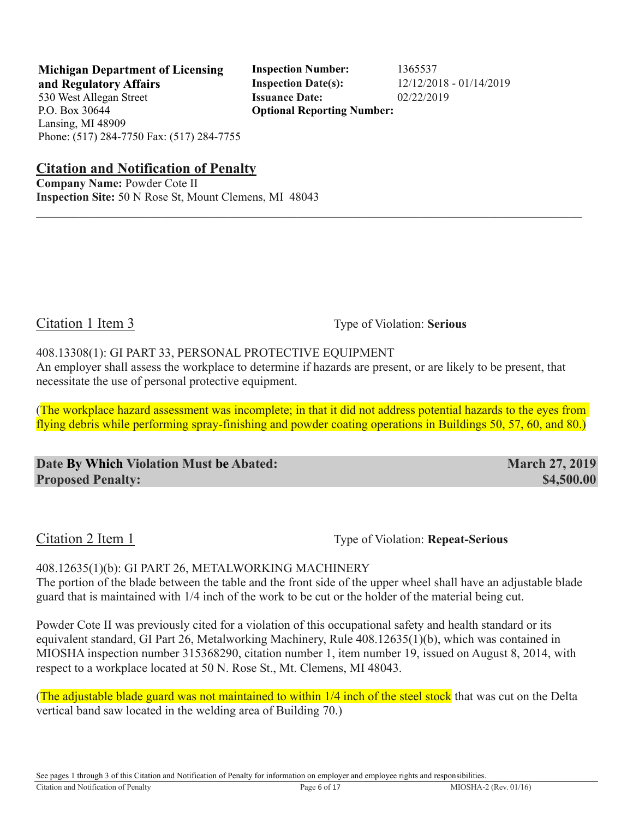**Michigan Department of Licensing Inspection Number:** 1365537 **and Regulatory Affairs Inspection Date(s):** 12/12/2018 - 01/14/2019 **Optional Reporting Number:** 

**Citation and Notification of Penalty**

**Company Name:** Powder Cote II **Inspection Site:** 50 N Rose St, Mount Clemens, MI 48043

Citation 1 Item 3 Type of Violation: **Serious** 

408.13308(1): GI PART 33, PERSONAL PROTECTIVE EQUIPMENT

An employer shall assess the workplace to determine if hazards are present, or are likely to be present, that necessitate the use of personal protective equipment.

 $\mathcal{L}_\mathcal{L} = \mathcal{L}_\mathcal{L} = \mathcal{L}_\mathcal{L} = \mathcal{L}_\mathcal{L} = \mathcal{L}_\mathcal{L} = \mathcal{L}_\mathcal{L} = \mathcal{L}_\mathcal{L} = \mathcal{L}_\mathcal{L} = \mathcal{L}_\mathcal{L} = \mathcal{L}_\mathcal{L} = \mathcal{L}_\mathcal{L} = \mathcal{L}_\mathcal{L} = \mathcal{L}_\mathcal{L} = \mathcal{L}_\mathcal{L} = \mathcal{L}_\mathcal{L} = \mathcal{L}_\mathcal{L} = \mathcal{L}_\mathcal{L}$ 

(The workplace hazard assessment was incomplete; in that it did not address potential hazards to the eyes from flying debris while performing spray-finishing and powder coating operations in Buildings 50, 57, 60, and 80.)

**Date By Which Violation Must be Abated: March 27, 2019 Proposed Penalty:**  $$4,500.00$ 

Citation 2 Item 1 Type of Violation: **Repeat-Serious** 

408.12635(1)(b): GI PART 26, METALWORKING MACHINERY The portion of the blade between the table and the front side of the upper wheel shall have an adjustable blade guard that is maintained with 1/4 inch of the work to be cut or the holder of the material being cut.

Powder Cote II was previously cited for a violation of this occupational safety and health standard or its equivalent standard, GI Part 26, Metalworking Machinery, Rule 408.12635(1)(b), which was contained in MIOSHA inspection number 315368290, citation number 1, item number 19, issued on August 8, 2014, with respect to a workplace located at 50 N. Rose St., Mt. Clemens, MI 48043.

(The adjustable blade guard was not maintained to within 1/4 inch of the steel stock that was cut on the Delta vertical band saw located in the welding area of Building 70.)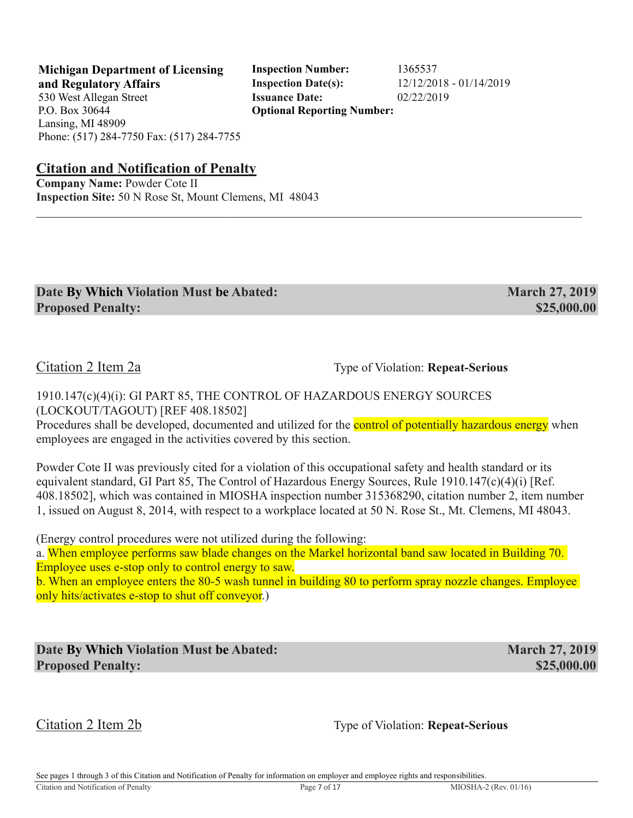**Michigan Department of Licensing Inspection Number:** 1365537 **and Regulatory Affairs Inspection Date(s):** 12/12/2018 - 01/14/2019 **Optional Reporting Number:** 

**Citation and Notification of Penalty**

**Company Name:** Powder Cote II **Inspection Site:** 50 N Rose St, Mount Clemens, MI 48043

| Date By Which Violation Must be Abated: | <b>March 27, 2019</b> |
|-----------------------------------------|-----------------------|
| <b>Proposed Penalty:</b>                | \$25,000.00           |

 $\mathcal{L}_\mathcal{L} = \mathcal{L}_\mathcal{L} = \mathcal{L}_\mathcal{L} = \mathcal{L}_\mathcal{L} = \mathcal{L}_\mathcal{L} = \mathcal{L}_\mathcal{L} = \mathcal{L}_\mathcal{L} = \mathcal{L}_\mathcal{L} = \mathcal{L}_\mathcal{L} = \mathcal{L}_\mathcal{L} = \mathcal{L}_\mathcal{L} = \mathcal{L}_\mathcal{L} = \mathcal{L}_\mathcal{L} = \mathcal{L}_\mathcal{L} = \mathcal{L}_\mathcal{L} = \mathcal{L}_\mathcal{L} = \mathcal{L}_\mathcal{L}$ 

Citation 2 Item 2a Type of Violation: **Repeat-Serious** 

1910.147(c)(4)(i): GI PART 85, THE CONTROL OF HAZARDOUS ENERGY SOURCES (LOCKOUT/TAGOUT) [REF 408.18502]

Procedures shall be developed, documented and utilized for the **control of potentially hazardous energy** when employees are engaged in the activities covered by this section.

Powder Cote II was previously cited for a violation of this occupational safety and health standard or its equivalent standard, GI Part 85, The Control of Hazardous Energy Sources, Rule 1910.147(c)(4)(i) [Ref. 408.18502], which was contained in MIOSHA inspection number 315368290, citation number 2, item number 1, issued on August 8, 2014, with respect to a workplace located at 50 N. Rose St., Mt. Clemens, MI 48043.

(Energy control procedures were not utilized during the following:

a. When employee performs saw blade changes on the Markel horizontal band saw located in Building 70. Employee uses e-stop only to control energy to saw.

b. When an employee enters the 80-5 wash tunnel in building 80 to perform spray nozzle changes. Employee only hits/activates e-stop to shut off conveyor.)

**Date By Which Violation Must be Abated: March 27, 2019 Proposed Penalty: \$25,000.00 \$25,000.00** 

Citation 2 Item 2b Type of Violation: **Repeat-Serious**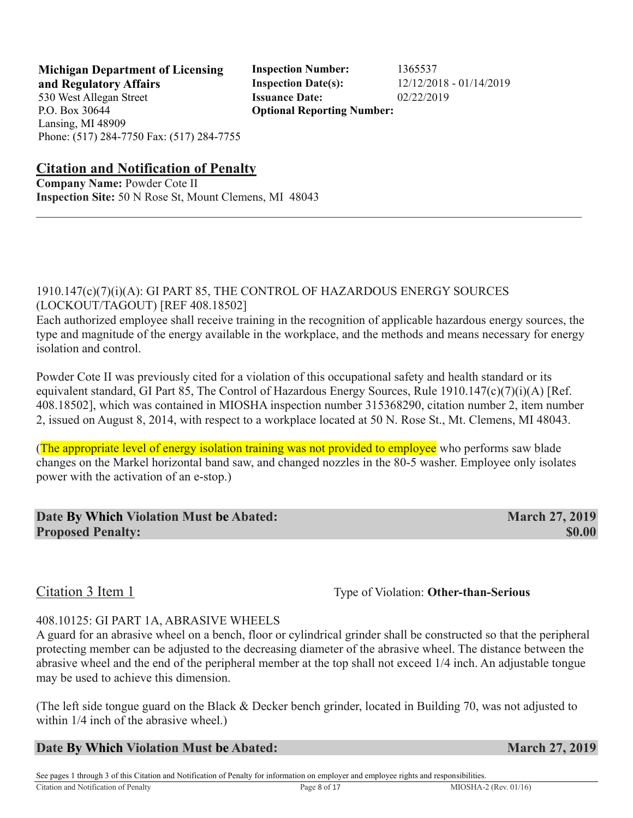**Michigan Department of Licensing Inspection Number:** 1365537 **and Regulatory Affairs Inspection Date(s):** 12/12/2018 - 01/14/2019 **Optional Reporting Number:** 

#### **Citation and Notification of Penalty**

**Company Name:** Powder Cote II **Inspection Site:** 50 N Rose St, Mount Clemens, MI 48043

### 1910.147(c)(7)(i)(A): GI PART 85, THE CONTROL OF HAZARDOUS ENERGY SOURCES (LOCKOUT/TAGOUT) [REF 408.18502]

Each authorized employee shall receive training in the recognition of applicable hazardous energy sources, the type and magnitude of the energy available in the workplace, and the methods and means necessary for energy isolation and control.

 $\mathcal{L}_\mathcal{L} = \mathcal{L}_\mathcal{L} = \mathcal{L}_\mathcal{L} = \mathcal{L}_\mathcal{L} = \mathcal{L}_\mathcal{L} = \mathcal{L}_\mathcal{L} = \mathcal{L}_\mathcal{L} = \mathcal{L}_\mathcal{L} = \mathcal{L}_\mathcal{L} = \mathcal{L}_\mathcal{L} = \mathcal{L}_\mathcal{L} = \mathcal{L}_\mathcal{L} = \mathcal{L}_\mathcal{L} = \mathcal{L}_\mathcal{L} = \mathcal{L}_\mathcal{L} = \mathcal{L}_\mathcal{L} = \mathcal{L}_\mathcal{L}$ 

Powder Cote II was previously cited for a violation of this occupational safety and health standard or its equivalent standard, GI Part 85, The Control of Hazardous Energy Sources, Rule 1910.147(c)(7)(i)(A) [Ref. 408.18502], which was contained in MIOSHA inspection number 315368290, citation number 2, item number 2, issued on August 8, 2014, with respect to a workplace located at 50 N. Rose St., Mt. Clemens, MI 48043.

(The appropriate level of energy isolation training was not provided to employee who performs saw blade changes on the Markel horizontal band saw, and changed nozzles in the 80-5 washer. Employee only isolates power with the activation of an e-stop.)

| Date By Which Violation Must be Abated: | <b>March 27, 2019</b> |
|-----------------------------------------|-----------------------|
| <b>Proposed Penalty:</b>                | <b>SO.00</b>          |

#### Citation 3 Item 1 Type of Violation: **Other-than-Serious**

#### 408.10125: GI PART 1A, ABRASIVE WHEELS

A guard for an abrasive wheel on a bench, floor or cylindrical grinder shall be constructed so that the peripheral protecting member can be adjusted to the decreasing diameter of the abrasive wheel. The distance between the abrasive wheel and the end of the peripheral member at the top shall not exceed 1/4 inch. An adjustable tongue may be used to achieve this dimension.

(The left side tongue guard on the Black & Decker bench grinder, located in Building 70, was not adjusted to within  $1/4$  inch of the abrasive wheel.)

**Date By Which Violation Must be Abated: March 27, 2019**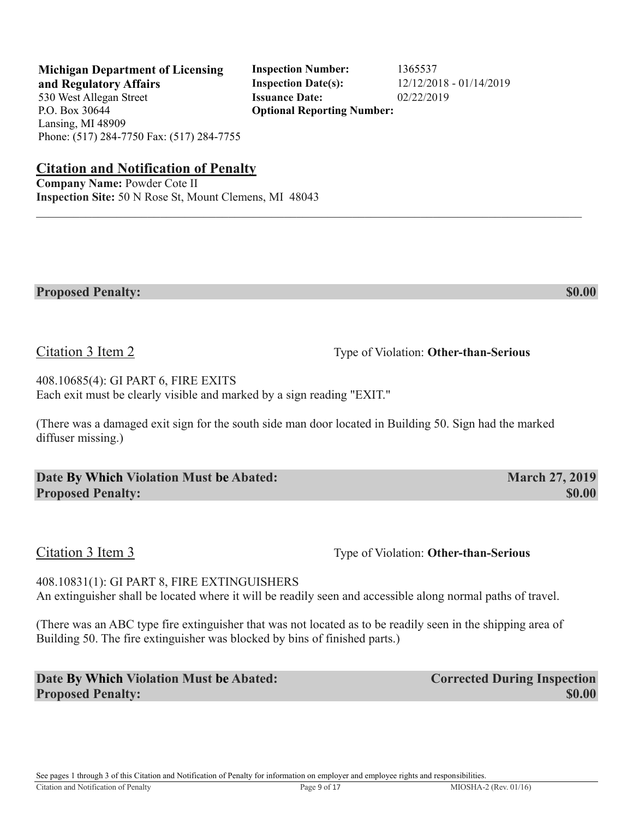See pages 1 through 3 of this Citation and Notification of Penalty for information on employer and employee rights and responsibilities.

**and Regulatory Affairs Inspection Date(s):** 12/12/2018 - 01/14/2019 530 West Allegan Street **Issuance Date:** 02/22/2019 P.O. Box 30644 Lansing, MI 48909 Phone: (517) 284-7750 Fax: (517) 284-7755

# **Citation and Notification of Penalty**

**Company Name:** Powder Cote II **Inspection Site:** 50 N Rose St, Mount Clemens, MI 48043

408.10685(4): GI PART 6, FIRE EXITS Each exit must be clearly visible and marked by a sign reading "EXIT."

(There was a damaged exit sign for the south side man door located in Building 50. Sign had the marked diffuser missing.)

 $\mathcal{L}_\mathcal{L} = \mathcal{L}_\mathcal{L} = \mathcal{L}_\mathcal{L} = \mathcal{L}_\mathcal{L} = \mathcal{L}_\mathcal{L} = \mathcal{L}_\mathcal{L} = \mathcal{L}_\mathcal{L} = \mathcal{L}_\mathcal{L} = \mathcal{L}_\mathcal{L} = \mathcal{L}_\mathcal{L} = \mathcal{L}_\mathcal{L} = \mathcal{L}_\mathcal{L} = \mathcal{L}_\mathcal{L} = \mathcal{L}_\mathcal{L} = \mathcal{L}_\mathcal{L} = \mathcal{L}_\mathcal{L} = \mathcal{L}_\mathcal{L}$ 

**Proposed Penalty:** \$0.00

**Date By Which Violation Must be Abated: March 27, 2019 Proposed Penalty:** \$0.00

Citation 3 Item 3 Type of Violation: **Other-than-Serious** 

408.10831(1): GI PART 8, FIRE EXTINGUISHERS An extinguisher shall be located where it will be readily seen and accessible along normal paths of travel.

(There was an ABC type fire extinguisher that was not located as to be readily seen in the shipping area of Building 50. The fire extinguisher was blocked by bins of finished parts.)

**Date By Which Violation Must be Abated: Corrected During Inspection Proposed Penalty:** \$0.00

Citation 3 Item 2 Type of Violation: **Other-than-Serious** 

**Michigan Department of Licensing Inspection Number:** 1365537 **Optional Reporting Number:**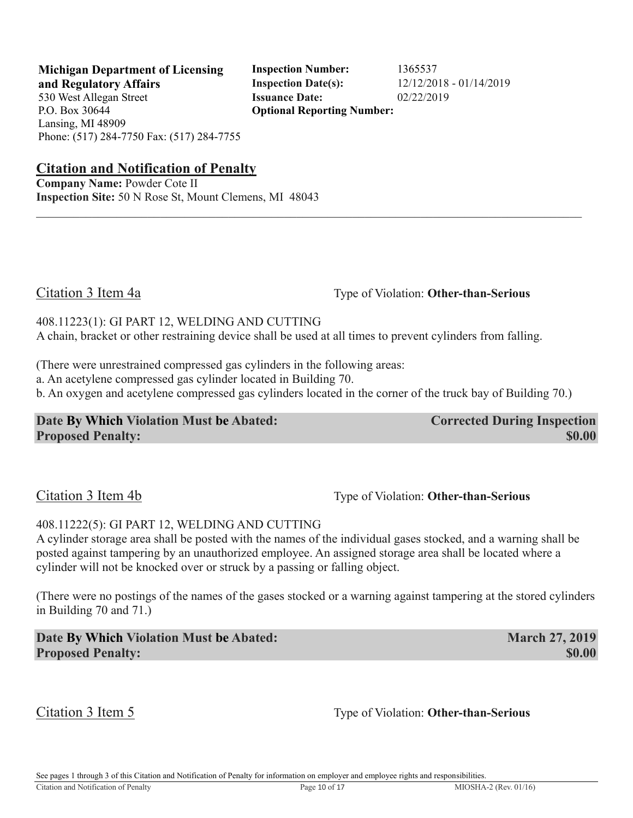**Michigan Department of Licensing Inspection Number:** 1365537 **and Regulatory Affairs Inspection Date(s):** 12/12/2018 - 01/14/2019 **Optional Reporting Number:** 

**Citation and Notification of Penalty**

**Company Name:** Powder Cote II **Inspection Site:** 50 N Rose St, Mount Clemens, MI 48043

Citation 3 Item 4a Type of Violation: **Other-than-Serious** 

408.11223(1): GI PART 12, WELDING AND CUTTING A chain, bracket or other restraining device shall be used at all times to prevent cylinders from falling.

(There were unrestrained compressed gas cylinders in the following areas:

a. An acetylene compressed gas cylinder located in Building 70.

b. An oxygen and acetylene compressed gas cylinders located in the corner of the truck bay of Building 70.)

 $\mathcal{L}_\mathcal{L} = \mathcal{L}_\mathcal{L} = \mathcal{L}_\mathcal{L} = \mathcal{L}_\mathcal{L} = \mathcal{L}_\mathcal{L} = \mathcal{L}_\mathcal{L} = \mathcal{L}_\mathcal{L} = \mathcal{L}_\mathcal{L} = \mathcal{L}_\mathcal{L} = \mathcal{L}_\mathcal{L} = \mathcal{L}_\mathcal{L} = \mathcal{L}_\mathcal{L} = \mathcal{L}_\mathcal{L} = \mathcal{L}_\mathcal{L} = \mathcal{L}_\mathcal{L} = \mathcal{L}_\mathcal{L} = \mathcal{L}_\mathcal{L}$ 

#### **Date By Which Violation Must be Abated: Corrected During Inspection Proposed Penalty:**  $$0.00$

Citation 3 Item 4b Type of Violation: **Other-than-Serious** 

#### 408.11222(5): GI PART 12, WELDING AND CUTTING

A cylinder storage area shall be posted with the names of the individual gases stocked, and a warning shall be posted against tampering by an unauthorized employee. An assigned storage area shall be located where a cylinder will not be knocked over or struck by a passing or falling object.

(There were no postings of the names of the gases stocked or a warning against tampering at the stored cylinders in Building 70 and 71.)

**Date By Which Violation Must be Abated: March 27, 2019 Proposed Penalty:** \$0.00

Citation 3 Item 5 Type of Violation: **Other-than-Serious**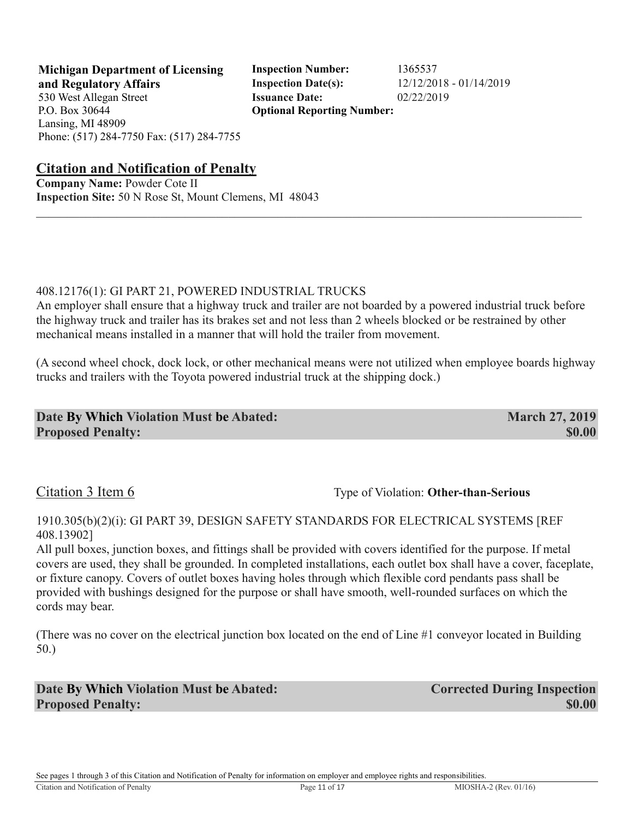**Michigan Department of Licensing Inspection Number:** 1365537 **and Regulatory Affairs Inspection Date(s):** 12/12/2018 - 01/14/2019 **Optional Reporting Number:** 

#### **Citation and Notification of Penalty**

**Company Name:** Powder Cote II **Inspection Site:** 50 N Rose St, Mount Clemens, MI 48043

#### 408.12176(1): GI PART 21, POWERED INDUSTRIAL TRUCKS

An employer shall ensure that a highway truck and trailer are not boarded by a powered industrial truck before the highway truck and trailer has its brakes set and not less than 2 wheels blocked or be restrained by other mechanical means installed in a manner that will hold the trailer from movement.

 $\mathcal{L}_\mathcal{L} = \mathcal{L}_\mathcal{L} = \mathcal{L}_\mathcal{L} = \mathcal{L}_\mathcal{L} = \mathcal{L}_\mathcal{L} = \mathcal{L}_\mathcal{L} = \mathcal{L}_\mathcal{L} = \mathcal{L}_\mathcal{L} = \mathcal{L}_\mathcal{L} = \mathcal{L}_\mathcal{L} = \mathcal{L}_\mathcal{L} = \mathcal{L}_\mathcal{L} = \mathcal{L}_\mathcal{L} = \mathcal{L}_\mathcal{L} = \mathcal{L}_\mathcal{L} = \mathcal{L}_\mathcal{L} = \mathcal{L}_\mathcal{L}$ 

(A second wheel chock, dock lock, or other mechanical means were not utilized when employee boards highway trucks and trailers with the Toyota powered industrial truck at the shipping dock.)

#### **Date By Which Violation Must be Abated: March 27, 2019 Proposed Penalty:**  $\bullet$  **\$0.00**

### Citation 3 Item 6 Type of Violation: Other-than-Serious

#### 1910.305(b)(2)(i): GI PART 39, DESIGN SAFETY STANDARDS FOR ELECTRICAL SYSTEMS [REF 408.13902]

All pull boxes, junction boxes, and fittings shall be provided with covers identified for the purpose. If metal covers are used, they shall be grounded. In completed installations, each outlet box shall have a cover, faceplate, or fixture canopy. Covers of outlet boxes having holes through which flexible cord pendants pass shall be provided with bushings designed for the purpose or shall have smooth, well-rounded surfaces on which the cords may bear.

(There was no cover on the electrical junction box located on the end of Line #1 conveyor located in Building 50.)

**Date By Which Violation Must be Abated: Corrected During Inspection Proposed Penalty:** \$0.00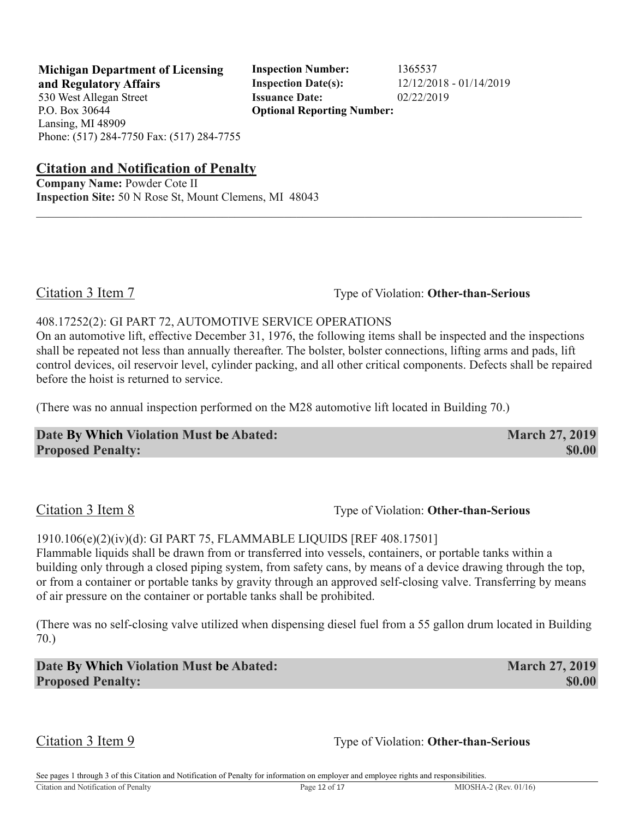**Michigan Department of Licensing Inspection Number:** 1365537 **and Regulatory Affairs Inspection Date(s):** 12/12/2018 - 01/14/2019 **Optional Reporting Number:** 

**Citation and Notification of Penalty**

**Company Name:** Powder Cote II **Inspection Site:** 50 N Rose St, Mount Clemens, MI 48043

Citation 3 Item 7 Type of Violation: **Other-than-Serious** 

#### 408.17252(2): GI PART 72, AUTOMOTIVE SERVICE OPERATIONS

On an automotive lift, effective December 31, 1976, the following items shall be inspected and the inspections shall be repeated not less than annually thereafter. The bolster, bolster connections, lifting arms and pads, lift control devices, oil reservoir level, cylinder packing, and all other critical components. Defects shall be repaired before the hoist is returned to service.

 $\mathcal{L}_\mathcal{L} = \mathcal{L}_\mathcal{L} = \mathcal{L}_\mathcal{L} = \mathcal{L}_\mathcal{L} = \mathcal{L}_\mathcal{L} = \mathcal{L}_\mathcal{L} = \mathcal{L}_\mathcal{L} = \mathcal{L}_\mathcal{L} = \mathcal{L}_\mathcal{L} = \mathcal{L}_\mathcal{L} = \mathcal{L}_\mathcal{L} = \mathcal{L}_\mathcal{L} = \mathcal{L}_\mathcal{L} = \mathcal{L}_\mathcal{L} = \mathcal{L}_\mathcal{L} = \mathcal{L}_\mathcal{L} = \mathcal{L}_\mathcal{L}$ 

(There was no annual inspection performed on the M28 automotive lift located in Building 70.)

| Date By Which Violation Must be Abated: | <b>March 27, 2019</b> |
|-----------------------------------------|-----------------------|
| <b>Proposed Penalty:</b>                | \$0.00                |

## Citation 3 Item 8 Type of Violation: **Other-than-Serious**

#### 1910.106(e)(2)(iv)(d): GI PART 75, FLAMMABLE LIQUIDS [REF 408.17501]

Flammable liquids shall be drawn from or transferred into vessels, containers, or portable tanks within a building only through a closed piping system, from safety cans, by means of a device drawing through the top, or from a container or portable tanks by gravity through an approved self-closing valve. Transferring by means of air pressure on the container or portable tanks shall be prohibited.

(There was no self-closing valve utilized when dispensing diesel fuel from a 55 gallon drum located in Building 70.)

**Date By Which Violation Must be Abated: March 27, 2019 Proposed Penalty:** \$0.00

Citation 3 Item 9 Type of Violation: **Other-than-Serious**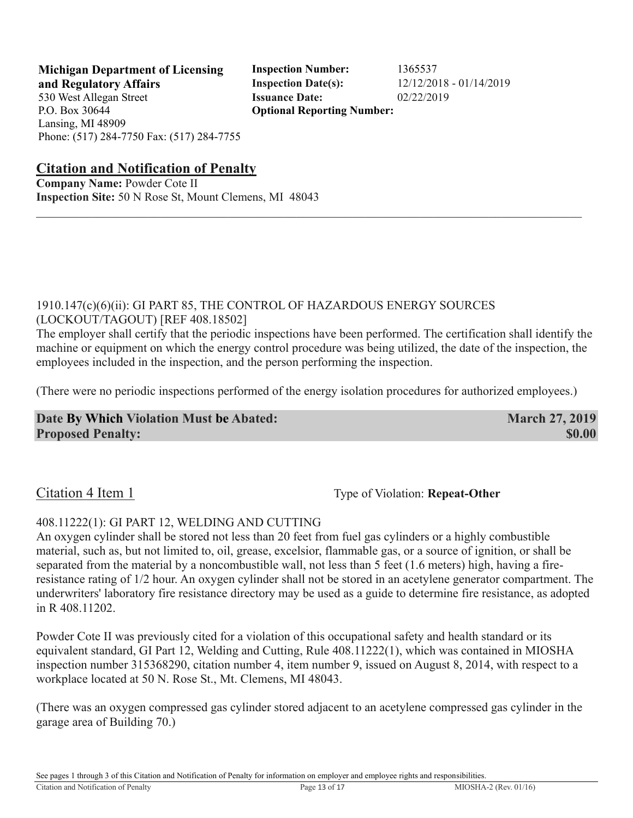530 West Allegan Street **Issuance Date:** 02/22/2019 P.O. Box 30644 Lansing, MI 48909

**Michigan Department of Licensing Inspection Number:** 1365537 **and Regulatory Affairs Inspection Date(s):** 12/12/2018 - 01/14/2019 **Optional Reporting Number:** 

Phone: (517) 284-7750 Fax: (517) 284-7755

#### **Citation and Notification of Penalty**

**Company Name:** Powder Cote II **Inspection Site:** 50 N Rose St, Mount Clemens, MI 48043

#### 1910.147(c)(6)(ii): GI PART 85, THE CONTROL OF HAZARDOUS ENERGY SOURCES (LOCKOUT/TAGOUT) [REF 408.18502]

The employer shall certify that the periodic inspections have been performed. The certification shall identify the machine or equipment on which the energy control procedure was being utilized, the date of the inspection, the employees included in the inspection, and the person performing the inspection.

 $\mathcal{L}_\mathcal{L} = \mathcal{L}_\mathcal{L} = \mathcal{L}_\mathcal{L} = \mathcal{L}_\mathcal{L} = \mathcal{L}_\mathcal{L} = \mathcal{L}_\mathcal{L} = \mathcal{L}_\mathcal{L} = \mathcal{L}_\mathcal{L} = \mathcal{L}_\mathcal{L} = \mathcal{L}_\mathcal{L} = \mathcal{L}_\mathcal{L} = \mathcal{L}_\mathcal{L} = \mathcal{L}_\mathcal{L} = \mathcal{L}_\mathcal{L} = \mathcal{L}_\mathcal{L} = \mathcal{L}_\mathcal{L} = \mathcal{L}_\mathcal{L}$ 

(There were no periodic inspections performed of the energy isolation procedures for authorized employees.)

**Date By Which Violation Must be Abated: March 27, 2019 Proposed Penalty:** \$0.00

Citation 4 Item 1 Type of Violation: **Repeat-Other** Type of Violation: **Repeat-Other** 

#### 408.11222(1): GI PART 12, WELDING AND CUTTING

An oxygen cylinder shall be stored not less than 20 feet from fuel gas cylinders or a highly combustible material, such as, but not limited to, oil, grease, excelsior, flammable gas, or a source of ignition, or shall be separated from the material by a noncombustible wall, not less than 5 feet (1.6 meters) high, having a fireresistance rating of 1/2 hour. An oxygen cylinder shall not be stored in an acetylene generator compartment. The underwriters' laboratory fire resistance directory may be used as a guide to determine fire resistance, as adopted in R 408.11202.

Powder Cote II was previously cited for a violation of this occupational safety and health standard or its equivalent standard, GI Part 12, Welding and Cutting, Rule 408.11222(1), which was contained in MIOSHA inspection number 315368290, citation number 4, item number 9, issued on August 8, 2014, with respect to a workplace located at 50 N. Rose St., Mt. Clemens, MI 48043.

(There was an oxygen compressed gas cylinder stored adjacent to an acetylene compressed gas cylinder in the garage area of Building 70.)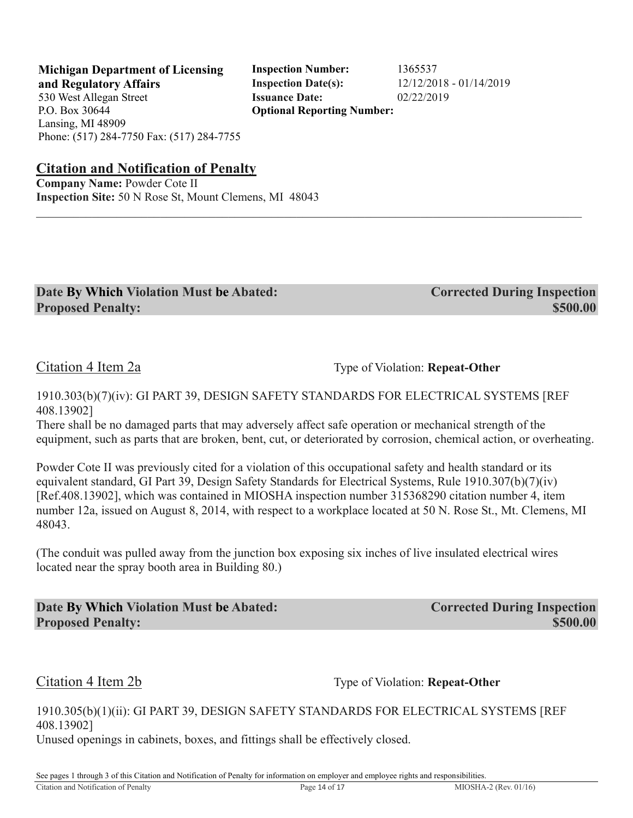**Michigan Department of Licensing Inspection Number:** 1365537 **and Regulatory Affairs Inspection Date(s):** 12/12/2018 - 01/14/2019 **Optional Reporting Number:** 

**Citation and Notification of Penalty**

**Company Name:** Powder Cote II **Inspection Site:** 50 N Rose St, Mount Clemens, MI 48043

| Date By Which Violation Must be Abated: | <b>Corrected During Inspection</b> |
|-----------------------------------------|------------------------------------|
| <b>Proposed Penalty:</b>                | \$500.00                           |

Citation 4 Item 2a Type of Violation: **Repeat-Other** Type of Violation: **Repeat-Other** 

#### 1910.303(b)(7)(iv): GI PART 39, DESIGN SAFETY STANDARDS FOR ELECTRICAL SYSTEMS [REF 408.13902]

 $\mathcal{L}_\mathcal{L} = \mathcal{L}_\mathcal{L} = \mathcal{L}_\mathcal{L} = \mathcal{L}_\mathcal{L} = \mathcal{L}_\mathcal{L} = \mathcal{L}_\mathcal{L} = \mathcal{L}_\mathcal{L} = \mathcal{L}_\mathcal{L} = \mathcal{L}_\mathcal{L} = \mathcal{L}_\mathcal{L} = \mathcal{L}_\mathcal{L} = \mathcal{L}_\mathcal{L} = \mathcal{L}_\mathcal{L} = \mathcal{L}_\mathcal{L} = \mathcal{L}_\mathcal{L} = \mathcal{L}_\mathcal{L} = \mathcal{L}_\mathcal{L}$ 

There shall be no damaged parts that may adversely affect safe operation or mechanical strength of the equipment, such as parts that are broken, bent, cut, or deteriorated by corrosion, chemical action, or overheating.

Powder Cote II was previously cited for a violation of this occupational safety and health standard or its equivalent standard, GI Part 39, Design Safety Standards for Electrical Systems, Rule 1910.307(b)(7)(iv) [Ref.408.13902], which was contained in MIOSHA inspection number 315368290 citation number 4, item number 12a, issued on August 8, 2014, with respect to a workplace located at 50 N. Rose St., Mt. Clemens, MI 48043.

(The conduit was pulled away from the junction box exposing six inches of live insulated electrical wires located near the spray booth area in Building 80.)

**Date By Which Violation Must be Abated: Corrected During Inspection Proposed Penalty: \$500.00 \$500.00 \$500.00 \$500.00 \$500.00 \$500.00 \$500.00** 

Citation 4 Item 2b Type of Violation: **Repeat-Other** 

1910.305(b)(1)(ii): GI PART 39, DESIGN SAFETY STANDARDS FOR ELECTRICAL SYSTEMS [REF 408.13902]

Unused openings in cabinets, boxes, and fittings shall be effectively closed.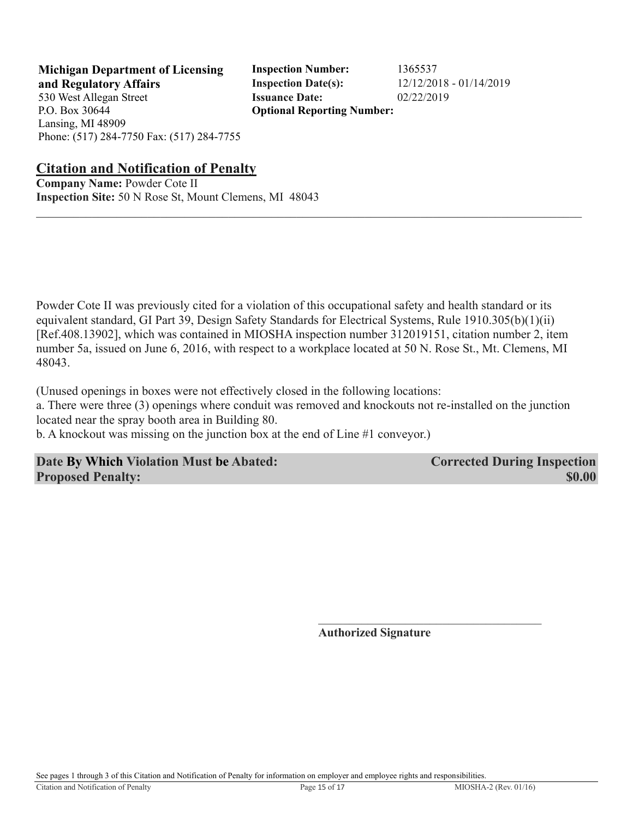**Michigan Department of Licensing Inspection Number:** 1365537 **and Regulatory Affairs Inspection Date(s):** 12/12/2018 - 01/14/2019 **Optional Reporting Number:** 

#### **Citation and Notification of Penalty**

**Company Name:** Powder Cote II **Inspection Site:** 50 N Rose St, Mount Clemens, MI 48043

Powder Cote II was previously cited for a violation of this occupational safety and health standard or its equivalent standard, GI Part 39, Design Safety Standards for Electrical Systems, Rule 1910.305(b)(1)(ii) [Ref.408.13902], which was contained in MIOSHA inspection number 312019151, citation number 2, item number 5a, issued on June 6, 2016, with respect to a workplace located at 50 N. Rose St., Mt. Clemens, MI 48043.

 $\mathcal{L}_\mathcal{L} = \mathcal{L}_\mathcal{L} = \mathcal{L}_\mathcal{L} = \mathcal{L}_\mathcal{L} = \mathcal{L}_\mathcal{L} = \mathcal{L}_\mathcal{L} = \mathcal{L}_\mathcal{L} = \mathcal{L}_\mathcal{L} = \mathcal{L}_\mathcal{L} = \mathcal{L}_\mathcal{L} = \mathcal{L}_\mathcal{L} = \mathcal{L}_\mathcal{L} = \mathcal{L}_\mathcal{L} = \mathcal{L}_\mathcal{L} = \mathcal{L}_\mathcal{L} = \mathcal{L}_\mathcal{L} = \mathcal{L}_\mathcal{L}$ 

(Unused openings in boxes were not effectively closed in the following locations:

a. There were three (3) openings where conduit was removed and knockouts not re-installed on the junction located near the spray booth area in Building 80.

b. A knockout was missing on the junction box at the end of Line #1 conveyor.)

#### **Date By Which Violation Must be Abated: Corrected During Inspection Proposed Penalty:**  $\bullet$  **\$0.00**

**Authorized Signature**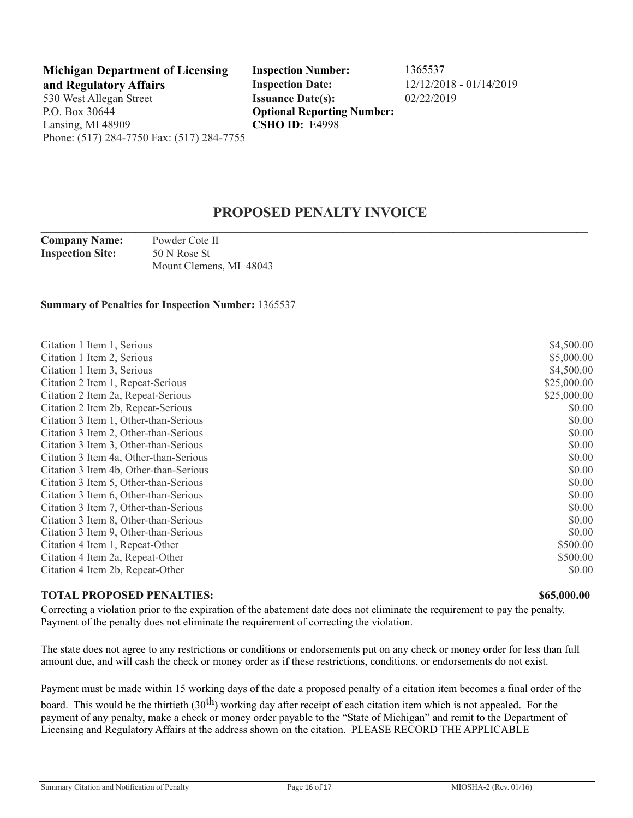**Michigan Department of Licensing Inspection Number:** 1365537 **and Regulatory Affairs Inspection Date:** 12/12/2018 - 01/14/2019 530 West Allegan Street **Issuance Date(s):** 02/22/2019 P.O. Box 30644 Lansing, MI 48909 Phone: (517) 284-7750 Fax: (517) 284-7755

**Optional Reporting Number: CSHO ID:** E4998

#### **PROPOSED PENALTY INVOICE \_\_\_\_\_\_\_\_\_\_\_\_\_\_\_\_\_\_\_\_\_\_\_\_\_\_\_\_\_\_\_\_\_\_\_\_\_\_\_\_\_\_\_\_\_\_\_\_\_\_\_\_\_\_\_\_\_\_\_\_\_\_\_\_\_\_\_\_\_\_\_\_\_\_\_\_\_\_\_\_\_\_\_\_\_\_\_\_\_\_\_\_\_\_\_\_\_\_**

**Company Name:** Powder Cote II **Inspection Site:** 50 N Rose St Mount Clemens, MI 48043

**Summary of Penalties for Inspection Number:** 1365537

| Citation 1 Item 1, Serious             | \$4,500.00  |
|----------------------------------------|-------------|
| Citation 1 Item 2, Serious             | \$5,000.00  |
| Citation 1 Item 3, Serious             | \$4,500.00  |
| Citation 2 Item 1, Repeat-Serious      | \$25,000.00 |
| Citation 2 Item 2a, Repeat-Serious     | \$25,000.00 |
| Citation 2 Item 2b, Repeat-Serious     | \$0.00      |
| Citation 3 Item 1, Other-than-Serious  | \$0.00      |
| Citation 3 Item 2, Other-than-Serious  | \$0.00      |
| Citation 3 Item 3, Other-than-Serious  | \$0.00      |
| Citation 3 Item 4a, Other-than-Serious | \$0.00      |
| Citation 3 Item 4b, Other-than-Serious | \$0.00      |
| Citation 3 Item 5, Other-than-Serious  | \$0.00      |
| Citation 3 Item 6, Other-than-Serious  | \$0.00      |
| Citation 3 Item 7, Other-than-Serious  | \$0.00      |
| Citation 3 Item 8, Other-than-Serious  | \$0.00      |
| Citation 3 Item 9, Other-than-Serious  | \$0.00      |
| Citation 4 Item 1, Repeat-Other        | \$500.00    |
| Citation 4 Item 2a, Repeat-Other       | \$500.00    |
| Citation 4 Item 2b, Repeat-Other       | \$0.00      |
|                                        |             |

#### **TOTAL PROPOSED PENALTIES: \$65,000.00**

Correcting a violation prior to the expiration of the abatement date does not eliminate the requirement to pay the penalty. Payment of the penalty does not eliminate the requirement of correcting the violation.

The state does not agree to any restrictions or conditions or endorsements put on any check or money order for less than full amount due, and will cash the check or money order as if these restrictions, conditions, or endorsements do not exist.

Payment must be made within 15 working days of the date a proposed penalty of a citation item becomes a final order of the

board. This would be the thirtieth (30<sup>th</sup>) working day after receipt of each citation item which is not appealed. For the payment of any penalty, make a check or money order payable to the "State of Michigan" and remit to the Department of Licensing and Regulatory Affairs at the address shown on the citation. PLEASE RECORD THE APPLICABLE